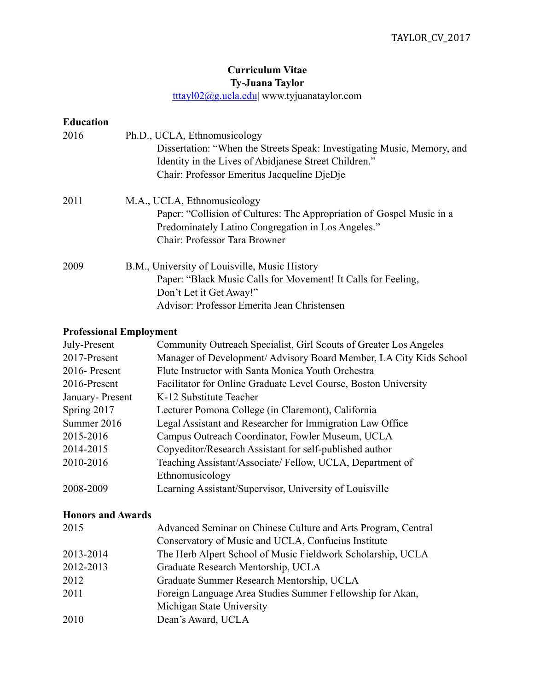## **Curriculum Vitae Ty-Juana Taylor**

[tttayl02@g.ucla.edu](mailto:tttayl02@g.ucla.edu?subject=)| www.tyjuanataylor.com

| <b>Education</b><br>2016       | Ph.D., UCLA, Ethnomusicology<br>Dissertation: "When the Streets Speak: Investigating Music, Memory, and<br>Identity in the Lives of Abidianese Street Children."<br>Chair: Professor Emeritus Jacqueline DjeDje |
|--------------------------------|-----------------------------------------------------------------------------------------------------------------------------------------------------------------------------------------------------------------|
| 2011                           | M.A., UCLA, Ethnomusicology<br>Paper: "Collision of Cultures: The Appropriation of Gospel Music in a<br>Predominately Latino Congregation in Los Angeles."<br>Chair: Professor Tara Browner                     |
| 2009                           | B.M., University of Louisville, Music History<br>Paper: "Black Music Calls for Movement! It Calls for Feeling,<br>Don't Let it Get Away!"<br>Advisor: Professor Emerita Jean Christensen                        |
| <b>Professional Employment</b> |                                                                                                                                                                                                                 |

| July-Present    | Community Outreach Specialist, Girl Scouts of Greater Los Angeles |
|-----------------|-------------------------------------------------------------------|
| 2017-Present    | Manager of Development/Advisory Board Member, LA City Kids School |
| 2016-Present    | Flute Instructor with Santa Monica Youth Orchestra                |
| 2016-Present    | Facilitator for Online Graduate Level Course, Boston University   |
| January-Present | K-12 Substitute Teacher                                           |
| Spring 2017     | Lecturer Pomona College (in Claremont), California                |
| Summer 2016     | Legal Assistant and Researcher for Immigration Law Office         |
| 2015-2016       | Campus Outreach Coordinator, Fowler Museum, UCLA                  |
| 2014-2015       | Copyeditor/Research Assistant for self-published author           |
| 2010-2016       | Teaching Assistant/Associate/Fellow, UCLA, Department of          |
|                 | Ethnomusicology                                                   |
| 2008-2009       | Learning Assistant/Supervisor, University of Louisville           |

## **Honors and Awards**

| Advanced Seminar on Chinese Culture and Arts Program, Central |
|---------------------------------------------------------------|
| Conservatory of Music and UCLA, Confucius Institute           |
| The Herb Alpert School of Music Fieldwork Scholarship, UCLA   |
| Graduate Research Mentorship, UCLA                            |
| Graduate Summer Research Mentorship, UCLA                     |
| Foreign Language Area Studies Summer Fellowship for Akan,     |
| Michigan State University                                     |
| Dean's Award, UCLA                                            |
|                                                               |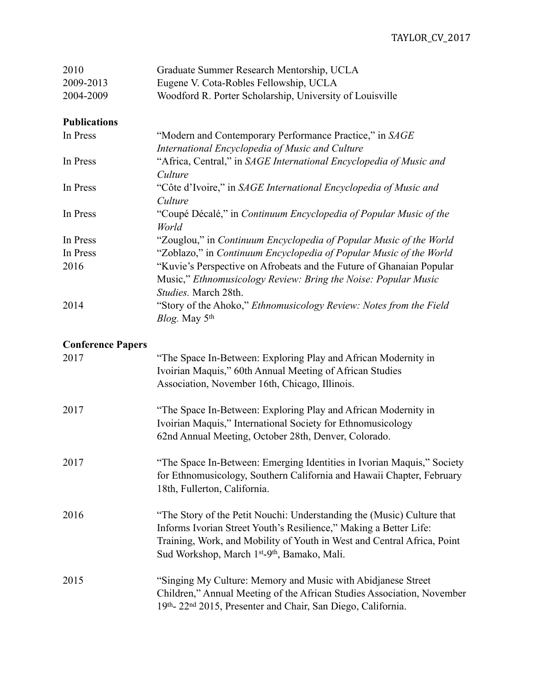| 2010                     | Graduate Summer Research Mentorship, UCLA                                                                                                                                                                                                                                                      |
|--------------------------|------------------------------------------------------------------------------------------------------------------------------------------------------------------------------------------------------------------------------------------------------------------------------------------------|
| 2009-2013                | Eugene V. Cota-Robles Fellowship, UCLA                                                                                                                                                                                                                                                         |
| 2004-2009                | Woodford R. Porter Scholarship, University of Louisville                                                                                                                                                                                                                                       |
| <b>Publications</b>      |                                                                                                                                                                                                                                                                                                |
| In Press                 | "Modern and Contemporary Performance Practice," in SAGE                                                                                                                                                                                                                                        |
|                          | International Encyclopedia of Music and Culture                                                                                                                                                                                                                                                |
| In Press                 | "Africa, Central," in SAGE International Encyclopedia of Music and<br>Culture                                                                                                                                                                                                                  |
| In Press                 | "Côte d'Ivoire," in SAGE International Encyclopedia of Music and<br>Culture                                                                                                                                                                                                                    |
| In Press                 | "Coupé Décalé," in Continuum Encyclopedia of Popular Music of the<br>World                                                                                                                                                                                                                     |
| In Press                 | "Zouglou," in Continuum Encyclopedia of Popular Music of the World                                                                                                                                                                                                                             |
| In Press                 | "Zoblazo," in Continuum Encyclopedia of Popular Music of the World                                                                                                                                                                                                                             |
| 2016                     | "Kuvie's Perspective on Afrobeats and the Future of Ghanaian Popular<br>Music," Ethnomusicology Review: Bring the Noise: Popular Music<br>Studies. March 28th.                                                                                                                                 |
| 2014                     | "Story of the Ahoko," Ethnomusicology Review: Notes from the Field<br>Blog. May 5 <sup>th</sup>                                                                                                                                                                                                |
| <b>Conference Papers</b> |                                                                                                                                                                                                                                                                                                |
| 2017                     | "The Space In-Between: Exploring Play and African Modernity in<br>Ivoirian Maquis," 60th Annual Meeting of African Studies<br>Association, November 16th, Chicago, Illinois.                                                                                                                   |
| 2017                     | "The Space In-Between: Exploring Play and African Modernity in<br>Ivoirian Maquis," International Society for Ethnomusicology<br>62nd Annual Meeting, October 28th, Denver, Colorado.                                                                                                          |
| 2017                     | "The Space In-Between: Emerging Identities in Ivorian Maquis," Society<br>for Ethnomusicology, Southern California and Hawaii Chapter, February<br>18th, Fullerton, California.                                                                                                                |
| 2016                     | "The Story of the Petit Nouchi: Understanding the (Music) Culture that<br>Informs Ivorian Street Youth's Resilience," Making a Better Life:<br>Training, Work, and Mobility of Youth in West and Central Africa, Point<br>Sud Workshop, March 1 <sup>st</sup> -9 <sup>th</sup> , Bamako, Mali. |
| 2015                     | "Singing My Culture: Memory and Music with Abidjanese Street<br>Children," Annual Meeting of the African Studies Association, November<br>19th-22nd 2015, Presenter and Chair, San Diego, California.                                                                                          |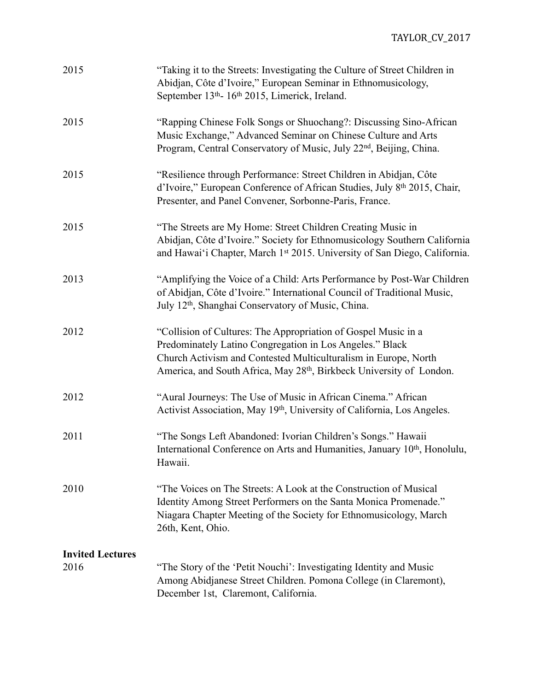| 2015                    | "Taking it to the Streets: Investigating the Culture of Street Children in<br>Abidjan, Côte d'Ivoire," European Seminar in Ethnomusicology,<br>September 13th- 16th 2015, Limerick, Ireland.                                                                                      |
|-------------------------|-----------------------------------------------------------------------------------------------------------------------------------------------------------------------------------------------------------------------------------------------------------------------------------|
| 2015                    | "Rapping Chinese Folk Songs or Shuochang?: Discussing Sino-African<br>Music Exchange," Advanced Seminar on Chinese Culture and Arts<br>Program, Central Conservatory of Music, July 22 <sup>nd</sup> , Beijing, China.                                                            |
| 2015                    | "Resilience through Performance: Street Children in Abidjan, Côte<br>d'Ivoire," European Conference of African Studies, July 8th 2015, Chair,<br>Presenter, and Panel Convener, Sorbonne-Paris, France.                                                                           |
| 2015                    | "The Streets are My Home: Street Children Creating Music in<br>Abidjan, Côte d'Ivoire." Society for Ethnomusicology Southern California<br>and Hawai'i Chapter, March 1st 2015. University of San Diego, California.                                                              |
| 2013                    | "Amplifying the Voice of a Child: Arts Performance by Post-War Children<br>of Abidjan, Côte d'Ivoire." International Council of Traditional Music,<br>July 12 <sup>th</sup> , Shanghai Conservatory of Music, China.                                                              |
| 2012                    | "Collision of Cultures: The Appropriation of Gospel Music in a<br>Predominately Latino Congregation in Los Angeles." Black<br>Church Activism and Contested Multiculturalism in Europe, North<br>America, and South Africa, May 28 <sup>th</sup> , Birkbeck University of London. |
| 2012                    | "Aural Journeys: The Use of Music in African Cinema." African<br>Activist Association, May 19th, University of California, Los Angeles.                                                                                                                                           |
| 2011                    | "The Songs Left Abandoned: Ivorian Children's Songs." Hawaii<br>International Conference on Arts and Humanities, January 10 <sup>th</sup> , Honolulu,<br>Hawaii.                                                                                                                  |
| 2010                    | "The Voices on The Streets: A Look at the Construction of Musical<br>Identity Among Street Performers on the Santa Monica Promenade."<br>Niagara Chapter Meeting of the Society for Ethnomusicology, March<br>26th, Kent, Ohio.                                                   |
| <b>Invited Lectures</b> |                                                                                                                                                                                                                                                                                   |
| 2016                    | "The Story of the 'Petit Nouchi': Investigating Identity and Music<br>Among Abidjanese Street Children. Pomona College (in Claremont),<br>December 1st, Claremont, California.                                                                                                    |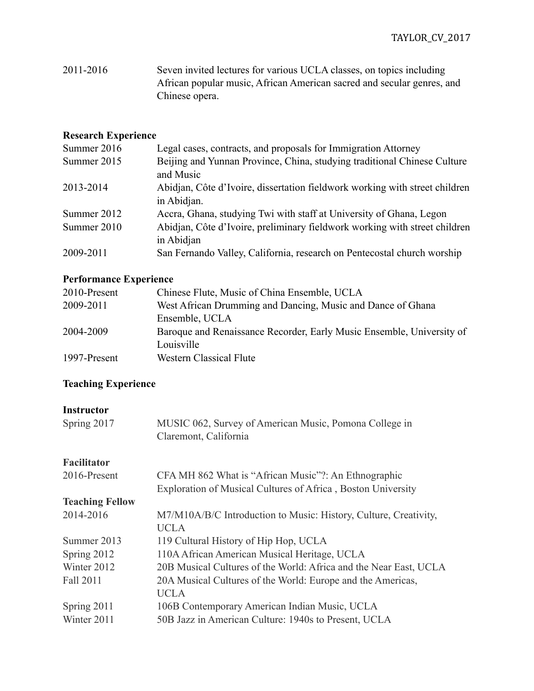2011-2016 Seven invited lectures for various UCLA classes, on topics including African popular music, African American sacred and secular genres, and Chinese opera.

#### **Research Experience**

| Summer 2016 | Legal cases, contracts, and proposals for Immigration Attorney                             |
|-------------|--------------------------------------------------------------------------------------------|
| Summer 2015 | Beijing and Yunnan Province, China, studying traditional Chinese Culture<br>and Music      |
| 2013-2014   | Abidjan, Côte d'Ivoire, dissertation fieldwork working with street children<br>in Abidjan. |
| Summer 2012 | Accra, Ghana, studying Twi with staff at University of Ghana, Legon                        |
| Summer 2010 | Abidjan, Côte d'Ivoire, preliminary fieldwork working with street children<br>in Abidjan   |
| 2009-2011   | San Fernando Valley, California, research on Pentecostal church worship                    |

## **Performance Experience**

| 2010-Present | Chinese Flute, Music of China Ensemble, UCLA                          |
|--------------|-----------------------------------------------------------------------|
| 2009-2011    | West African Drumming and Dancing, Music and Dance of Ghana           |
|              | Ensemble, UCLA                                                        |
| 2004-2009    | Baroque and Renaissance Recorder, Early Music Ensemble, University of |
|              | Louisville                                                            |
| 1997-Present | <b>Western Classical Flute</b>                                        |

# **Teaching Experience**

#### **Instructor**

| Spring 2017            | MUSIC 062, Survey of American Music, Pomona College in<br>Claremont, California |
|------------------------|---------------------------------------------------------------------------------|
| <b>Facilitator</b>     |                                                                                 |
| 2016-Present           | CFA MH 862 What is "African Music"?: An Ethnographic                            |
|                        | Exploration of Musical Cultures of Africa, Boston University                    |
| <b>Teaching Fellow</b> |                                                                                 |
| 2014-2016              | M7/M10A/B/C Introduction to Music: History, Culture, Creativity,                |
|                        | <b>UCLA</b>                                                                     |
| Summer 2013            | 119 Cultural History of Hip Hop, UCLA                                           |
| Spring 2012            | 110A African American Musical Heritage, UCLA                                    |
| Winter 2012            | 20B Musical Cultures of the World: Africa and the Near East, UCLA               |
| Fall 2011              | 20A Musical Cultures of the World: Europe and the Americas,                     |
|                        | <b>UCLA</b>                                                                     |
| Spring 2011            | 106B Contemporary American Indian Music, UCLA                                   |
| Winter 2011            | 50B Jazz in American Culture: 1940s to Present, UCLA                            |